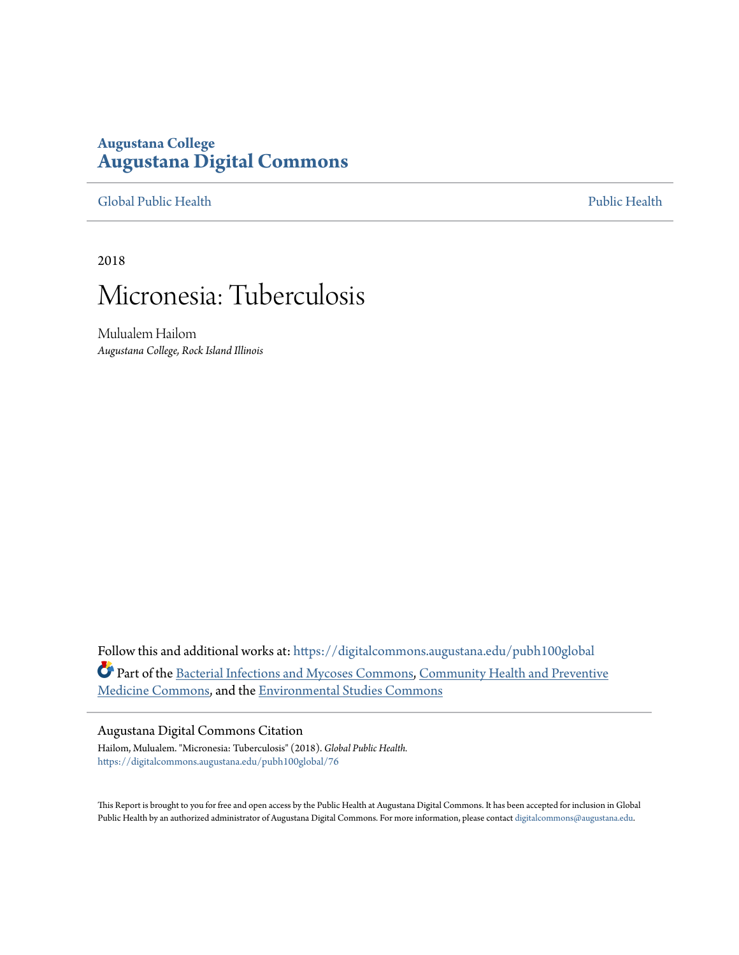## **Augustana College [Augustana Digital Commons](https://digitalcommons.augustana.edu?utm_source=digitalcommons.augustana.edu%2Fpubh100global%2F76&utm_medium=PDF&utm_campaign=PDFCoverPages)**

[Global Public Health](https://digitalcommons.augustana.edu/pubh100global?utm_source=digitalcommons.augustana.edu%2Fpubh100global%2F76&utm_medium=PDF&utm_campaign=PDFCoverPages) [Public Health](https://digitalcommons.augustana.edu/publichealth?utm_source=digitalcommons.augustana.edu%2Fpubh100global%2F76&utm_medium=PDF&utm_campaign=PDFCoverPages)

2018

# Micronesia: Tuberculosis

Mulualem Hailom *Augustana College, Rock Island Illinois*

Follow this and additional works at: [https://digitalcommons.augustana.edu/pubh100global](https://digitalcommons.augustana.edu/pubh100global?utm_source=digitalcommons.augustana.edu%2Fpubh100global%2F76&utm_medium=PDF&utm_campaign=PDFCoverPages) Part of the [Bacterial Infections and Mycoses Commons,](http://network.bepress.com/hgg/discipline/966?utm_source=digitalcommons.augustana.edu%2Fpubh100global%2F76&utm_medium=PDF&utm_campaign=PDFCoverPages) [Community Health and Preventive](http://network.bepress.com/hgg/discipline/744?utm_source=digitalcommons.augustana.edu%2Fpubh100global%2F76&utm_medium=PDF&utm_campaign=PDFCoverPages) [Medicine Commons,](http://network.bepress.com/hgg/discipline/744?utm_source=digitalcommons.augustana.edu%2Fpubh100global%2F76&utm_medium=PDF&utm_campaign=PDFCoverPages) and the [Environmental Studies Commons](http://network.bepress.com/hgg/discipline/1333?utm_source=digitalcommons.augustana.edu%2Fpubh100global%2F76&utm_medium=PDF&utm_campaign=PDFCoverPages)

#### Augustana Digital Commons Citation

Hailom, Mulualem. "Micronesia: Tuberculosis" (2018). *Global Public Health.* [https://digitalcommons.augustana.edu/pubh100global/76](https://digitalcommons.augustana.edu/pubh100global/76?utm_source=digitalcommons.augustana.edu%2Fpubh100global%2F76&utm_medium=PDF&utm_campaign=PDFCoverPages)

This Report is brought to you for free and open access by the Public Health at Augustana Digital Commons. It has been accepted for inclusion in Global Public Health by an authorized administrator of Augustana Digital Commons. For more information, please contact [digitalcommons@augustana.edu.](mailto:digitalcommons@augustana.edu)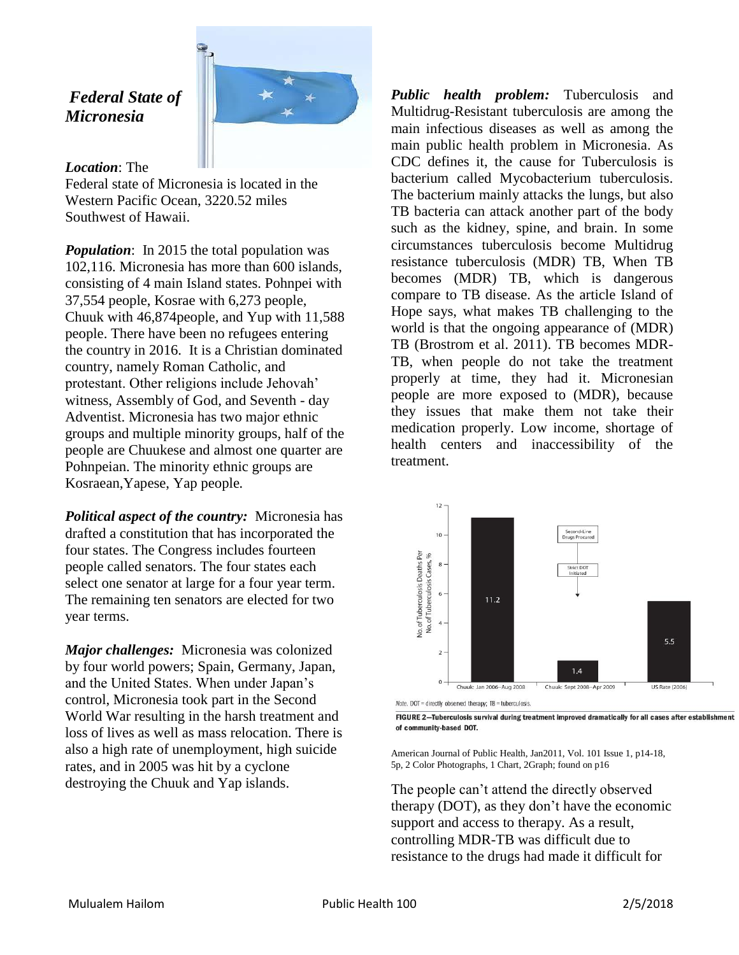## *Federal State of Micronesia*



### *Location*: The

Federal state of Micronesia is located in the Western Pacific Ocean, 3220.52 miles Southwest of Hawaii.

*Population*: In 2015 the total population was 102,116. Micronesia has more than 600 islands, consisting of 4 main Island states. Pohnpei with 37,554 people, Kosrae with 6,273 people, Chuuk with 46,874people, and Yup with 11,588 people. There have been no refugees entering the country in 2016. It is a Christian dominated country, namely Roman Catholic, and protestant. Other religions include Jehovah' witness, Assembly of God, and Seventh - day Adventist. Micronesia has two major ethnic groups and multiple minority groups, half of the people are Chuukese and almost one quarter are Pohnpeian. The minority ethnic groups are Kosraean,Yapese, Yap people*.*

*Political aspect of the country:* Micronesia has drafted a constitution that has incorporated the four states. The Congress includes fourteen people called senators. The four states each select one senator at large for a four year term. The remaining ten senators are elected for two year terms.

*Major challenges:* Micronesia was colonized by four world powers; Spain, Germany, Japan, and the United States. When under Japan's control, Micronesia took part in the Second World War resulting in the harsh treatment and loss of lives as well as mass relocation. There is also a high rate of unemployment, high suicide rates, and in 2005 was hit by a cyclone destroying the Chuuk and Yap islands.

*Public health problem:* Tuberculosis and Multidrug-Resistant tuberculosis are among the main infectious diseases as well as among the main public health problem in Micronesia. As CDC defines it, the cause for Tuberculosis is bacterium called Mycobacterium tuberculosis. The bacterium mainly attacks the lungs, but also TB bacteria can attack another part of the body such as the kidney, spine, and brain. In some circumstances tuberculosis become Multidrug resistance tuberculosis (MDR) TB, When TB becomes (MDR) TB, which is dangerous compare to TB disease. As the article Island of Hope says, what makes TB challenging to the world is that the ongoing appearance of (MDR) TB (Brostrom et al. 2011). TB becomes MDR-TB, when people do not take the treatment properly at time, they had it. Micronesian people are more exposed to (MDR), because they issues that make them not take their medication properly. Low income, shortage of health centers and inaccessibility of the treatment.



Note. DOT = directly observed therapy; TB = tuberculosis.

American Journal of Public Health, Jan2011, Vol. 101 Issue 1, p14-18, 5p, 2 Color Photographs, 1 Chart, 2Graph; found on p16

The people can't attend the directly observed therapy (DOT), as they don't have the economic support and access to therapy. As a result, controlling MDR-TB was difficult due to resistance to the drugs had made it difficult for

FIGURE 2-Tuberculosis survival during treatment improved dramatically for all cases after establishment of community-based DOT.